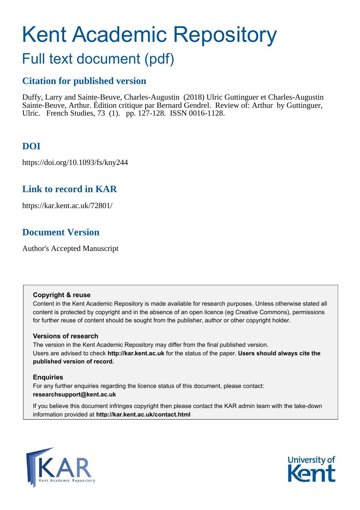# Kent Academic Repository

## Full text document (pdf)

## **Citation for published version**

Duffy, Larry and Sainte-Beuve, Charles-Augustin (2018) Ulric Guttinguer et Charles-Augustin Sainte-Beuve, Arthur. Édition critique par Bernard Gendrel. Review of: Arthur by Guttinguer, Ulric. French Studies, 73 (1). pp. 127-128. ISSN 0016-1128.

## **DOI**

https://doi.org/10.1093/fs/kny244

## **Link to record in KAR**

https://kar.kent.ac.uk/72801/

## **Document Version**

Author's Accepted Manuscript

#### **Copyright & reuse**

Content in the Kent Academic Repository is made available for research purposes. Unless otherwise stated all content is protected by copyright and in the absence of an open licence (eg Creative Commons), permissions for further reuse of content should be sought from the publisher, author or other copyright holder.

#### **Versions of research**

The version in the Kent Academic Repository may differ from the final published version. Users are advised to check **http://kar.kent.ac.uk** for the status of the paper. **Users should always cite the published version of record.**

#### **Enquiries**

For any further enquiries regarding the licence status of this document, please contact: **researchsupport@kent.ac.uk**

If you believe this document infringes copyright then please contact the KAR admin team with the take-down information provided at **http://kar.kent.ac.uk/contact.html**



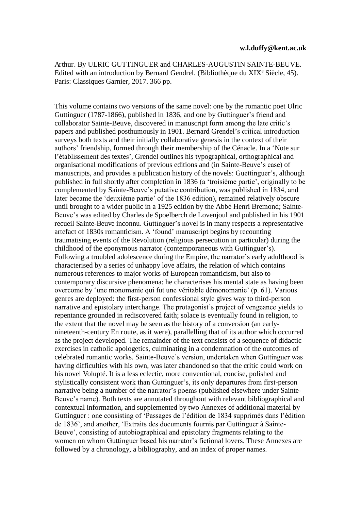Arthur. By ULRIC GUTTINGUER and CHARLES-AUGUSTIN SAINTE-BEUVE. Edited with an introduction by Bernard Gendrel. (Bibliothèque du XIX<sup>e</sup> Siècle, 45). Paris: Classiques Garnier, 2017. 366 pp.

This volume contains two versions of the same novel: one by the romantic poet Ulric Guttinguer (1787-1866), published in 1836, and one by Guttinguer's friend and collaborator Sainte-Beuve, discovered in manuscript form among the late critic's papers and published posthumously in 1901. Bernard Grendel's critical introduction surveys both texts and their initially collaborative genesis in the context of their authors' friendship, formed through their membership of the Cénacle. In a 'Note sur l'établissement des textes', Grendel outlines his typographical, orthographical and organisational modifications of previous editions and (in Sainte-Beuve's case) of manuscripts, and provides a publication history of the novels: Guettinguer's, although published in full shortly after completion in 1836 (a 'troisième partie', originally to be complemented by Sainte-Beuve's putative contribution, was published in 1834, and later became the 'deuxième partie' of the 1836 edition), remained relatively obscure until brought to a wider public in a 1925 edition by the Abbé Henri Bremond; Sainte-Beuve's was edited by Charles de Spoelberch de Lovenjoul and published in his 1901 recueil Sainte-Beuve inconnu. Guttinguer's novel is in many respects a representative artefact of 1830s romanticism. A 'found' manuscript begins by recounting traumatising events of the Revolution (religious persecution in particular) during the childhood of the eponymous narrator (contemporaneous with Guttinguer's). Following a troubled adolescence during the Empire, the narrator's early adulthood is characterised by a series of unhappy love affairs, the relation of which contains numerous references to major works of European romanticism, but also to contemporary discursive phenomena: he characterises his mental state as having been overcome by 'une monomanie qui fut une véritable démonomanie' (p. 61). Various genres are deployed: the first-person confessional style gives way to third-person narrative and epistolary interchange. The protagonist's project of vengeance yields to repentance grounded in rediscovered faith; solace is eventually found in religion, to the extent that the novel may be seen as the history of a conversion (an earlynineteenth-century En route, as it were), parallelling that of its author which occurred as the project developed. The remainder of the text consists of a sequence of didactic exercises in catholic apologetics, culminating in a condemnation of the outcomes of celebrated romantic works. Sainte-Beuve's version, undertaken when Guttinguer was having difficulties with his own, was later abandoned so that the critic could work on his novel Volupté. It is a less eclectic, more conventional, concise, polished and stylistically consistent work than Guttinguer's, its only departures from first-person narrative being a number of the narrator's poems (published elsewhere under Sainte-Beuve's name). Both texts are annotated throughout with relevant bibliographical and contextual information, and supplemented by two Annexes of additional material by Guttinguer : one consisting of 'Passages de l'édition de 1834 supprimés dans l'édition de 1836', and another, 'Extraits des documents fournis par Guttinguer à Sainte-Beuve', consisting of autobiographical and epistolary fragments relating to the women on whom Guttinguer based his narrator's fictional lovers. These Annexes are followed by a chronology, a bibliography, and an index of proper names.